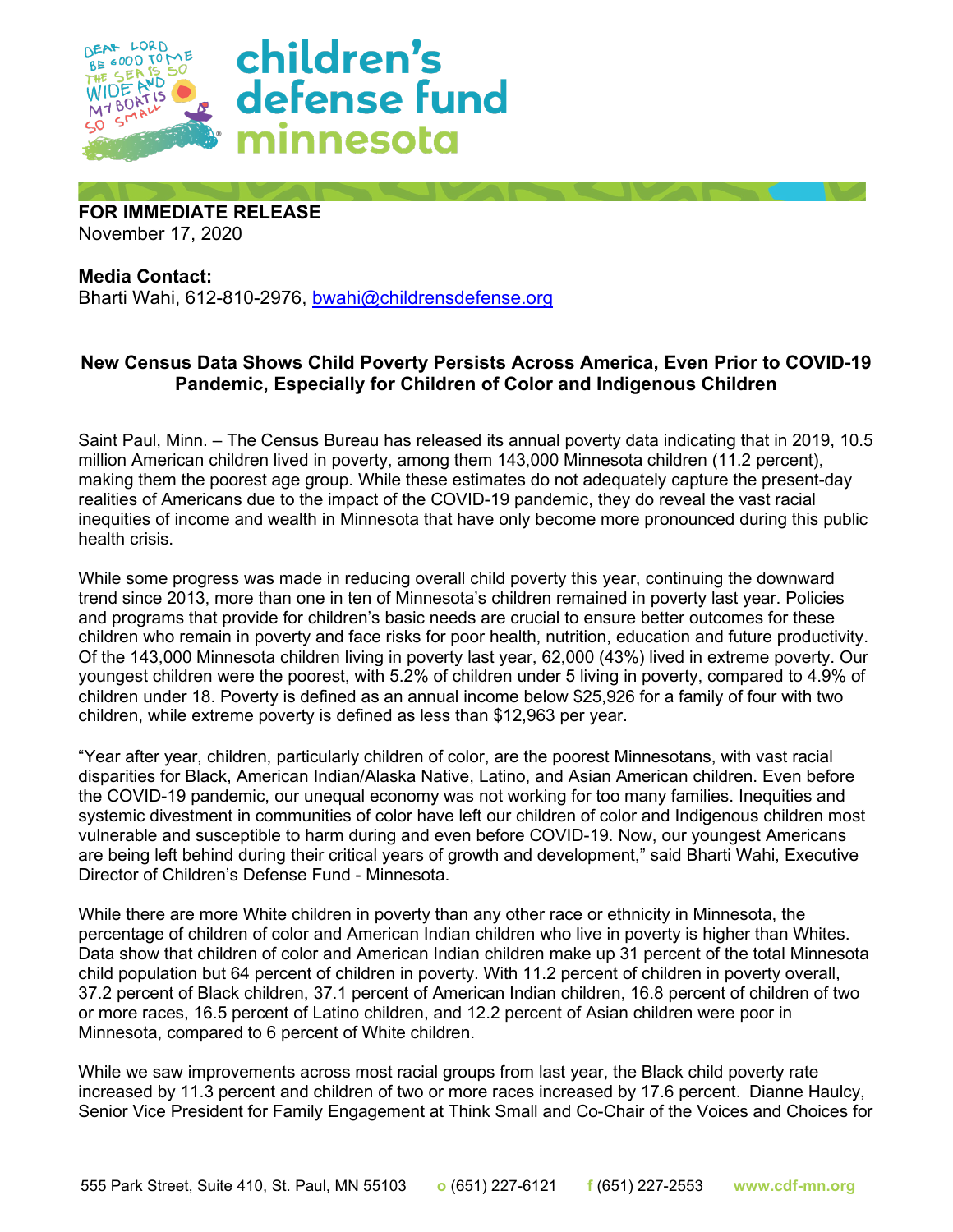

**FOR IMMEDIATE RELEASE** November 17, 2020

**Media Contact:**  Bharti Wahi, 612-810-2976, [bwahi@childrensdefense.org](mailto:jbertram@childrensdefense.org)

## **New Census Data Shows Child Poverty Persists Across America, Even Prior to COVID-19 Pandemic, Especially for Children of Color and Indigenous Children**

Saint Paul, Minn. – The Census Bureau has released its annual poverty data indicating that in 2019, 10.5 million American children lived in poverty, among them 143,000 Minnesota children (11.2 percent), making them the poorest age group. While these estimates do not adequately capture the present-day realities of Americans due to the impact of the COVID-19 pandemic, they do reveal the vast racial inequities of income and wealth in Minnesota that have only become more pronounced during this public health crisis.

While some progress was made in reducing overall child poverty this year, continuing the downward trend since 2013, more than one in ten of Minnesota's children remained in poverty last year. Policies and programs that provide for children's basic needs are crucial to ensure better outcomes for these children who remain in poverty and face risks for poor health, nutrition, education and future productivity. Of the 143,000 Minnesota children living in poverty last year, 62,000 (43%) lived in extreme poverty. Our youngest children were the poorest, with 5.2% of children under 5 living in poverty, compared to 4.9% of children under 18. Poverty is defined as an annual income below \$25,926 for a family of four with two children, while extreme poverty is defined as less than \$12,963 per year.

"Year after year, children, particularly children of color, are the poorest Minnesotans, with vast racial disparities for Black, American Indian/Alaska Native, Latino, and Asian American children. Even before the COVID-19 pandemic, our unequal economy was not working for too many families. Inequities and systemic divestment in communities of color have left our children of color and Indigenous children most vulnerable and susceptible to harm during and even before COVID-19. Now, our youngest Americans are being left behind during their critical years of growth and development," said Bharti Wahi, Executive Director of Children's Defense Fund - Minnesota.

While there are more White children in poverty than any other race or ethnicity in Minnesota, the percentage of children of color and American Indian children who live in poverty is higher than Whites. Data show that children of color and American Indian children make up 31 percent of the total Minnesota child population but 64 percent of children in poverty. With 11.2 percent of children in poverty overall, 37.2 percent of Black children, 37.1 percent of American Indian children, 16.8 percent of children of two or more races, 16.5 percent of Latino children, and 12.2 percent of Asian children were poor in Minnesota, compared to 6 percent of White children.

While we saw improvements across most racial groups from last year, the Black child poverty rate increased by 11.3 percent and children of two or more races increased by 17.6 percent. Dianne Haulcy, Senior Vice President for Family Engagement at Think Small and Co-Chair of the Voices and Choices for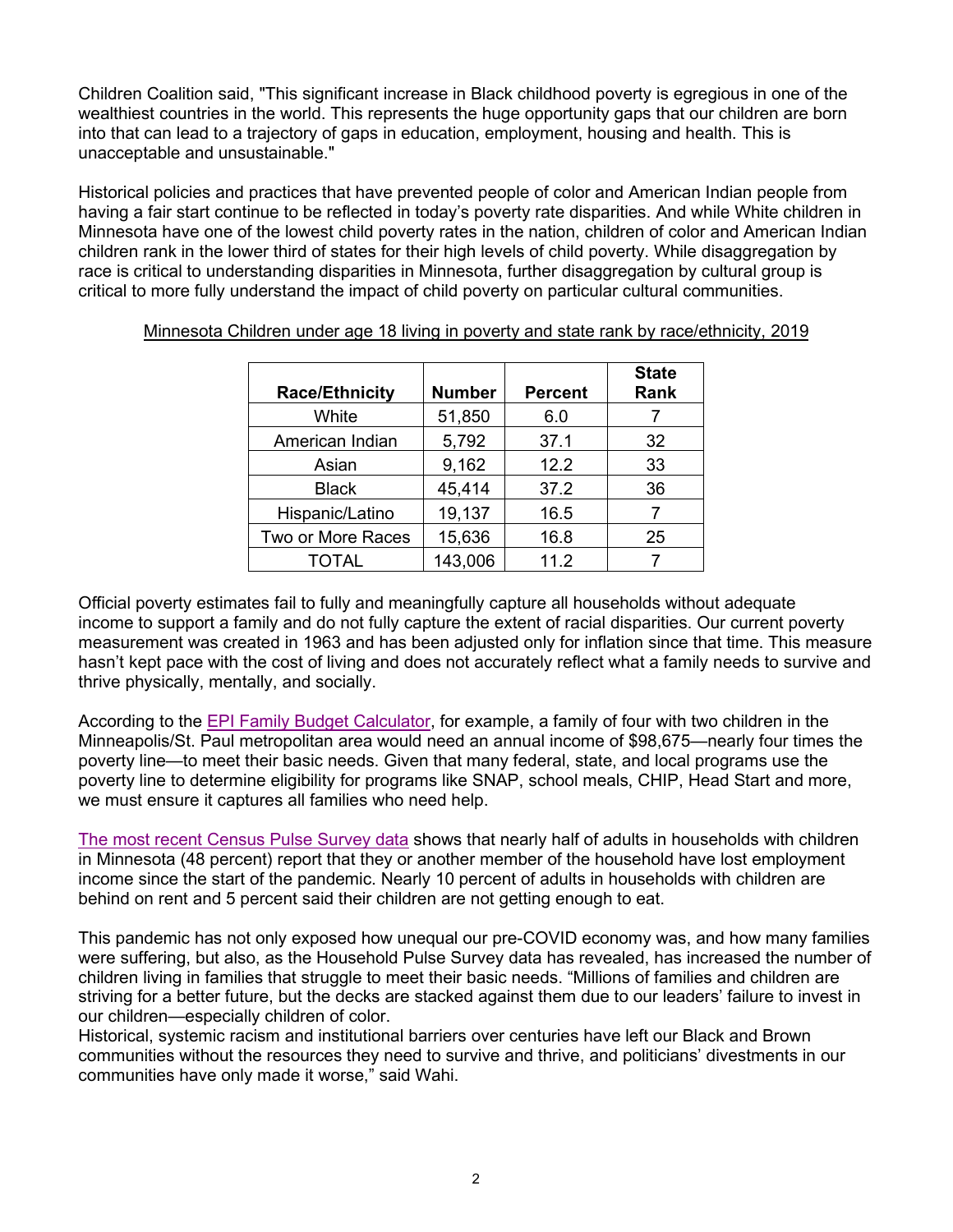Children Coalition said, "This significant increase in Black childhood poverty is egregious in one of the wealthiest countries in the world. This represents the huge opportunity gaps that our children are born into that can lead to a trajectory of gaps in education, employment, housing and health. This is unacceptable and unsustainable."

Historical policies and practices that have prevented people of color and American Indian people from having a fair start continue to be reflected in today's poverty rate disparities. And while White children in Minnesota have one of the lowest child poverty rates in the nation, children of color and American Indian children rank in the lower third of states for their high levels of child poverty. While disaggregation by race is critical to understanding disparities in Minnesota, further disaggregation by cultural group is critical to more fully understand the impact of child poverty on particular cultural communities.

| <b>Race/Ethnicity</b> | <b>Number</b> | <b>Percent</b> | <b>State</b><br>Rank |
|-----------------------|---------------|----------------|----------------------|
| White                 | 51,850        | 6.0            |                      |
| American Indian       | 5,792         | 37.1           | 32                   |
| Asian                 | 9,162         | 12.2           | 33                   |
| <b>Black</b>          | 45,414        | 37.2           | 36                   |
| Hispanic/Latino       | 19,137        | 16.5           |                      |
| Two or More Races     | 15,636        | 16.8           | 25                   |
| <b>TOTAL</b>          | 143,006       | 11.2           |                      |

Minnesota Children under age 18 living in poverty and state rank by race/ethnicity, 2019

Official poverty estimates fail to fully and meaningfully capture all households without adequate income to support a family and do not fully capture the extent of racial disparities. Our current poverty measurement was created in 1963 and has been adjusted only for inflation since that time. This measure hasn't kept pace with the cost of living and does not accurately reflect what a family needs to survive and thrive physically, mentally, and socially.

According to the [EPI Family Budget Calculator,](https://www.epi.org/resources/budget/) for example, a family of four with two children in the Minneapolis/St. Paul metropolitan area would need an annual income of \$98,675—nearly four times the poverty line—to meet their basic needs. Given that many federal, state, and local programs use the poverty line to determine eligibility for programs like SNAP, school meals, CHIP, Head Start and more, we must ensure it captures all families who need help.

[The most recent Census Pulse Survey data](https://www.census.gov/programs-surveys/household-pulse-survey/data.html#phase2) shows that nearly half of adults in households with children in Minnesota (48 percent) report that they or another member of the household have lost employment income since the start of the pandemic. Nearly 10 percent of adults in households with children are behind on rent and 5 percent said their children are not getting enough to eat.

This pandemic has not only exposed how unequal our pre-COVID economy was, and how many families were suffering, but also, as the Household Pulse Survey data has revealed, has increased the number of children living in families that struggle to meet their basic needs. "Millions of families and children are striving for a better future, but the decks are stacked against them due to our leaders' failure to invest in our children—especially children of color.

Historical, systemic racism and institutional barriers over centuries have left our Black and Brown communities without the resources they need to survive and thrive, and politicians' divestments in our communities have only made it worse," said Wahi.